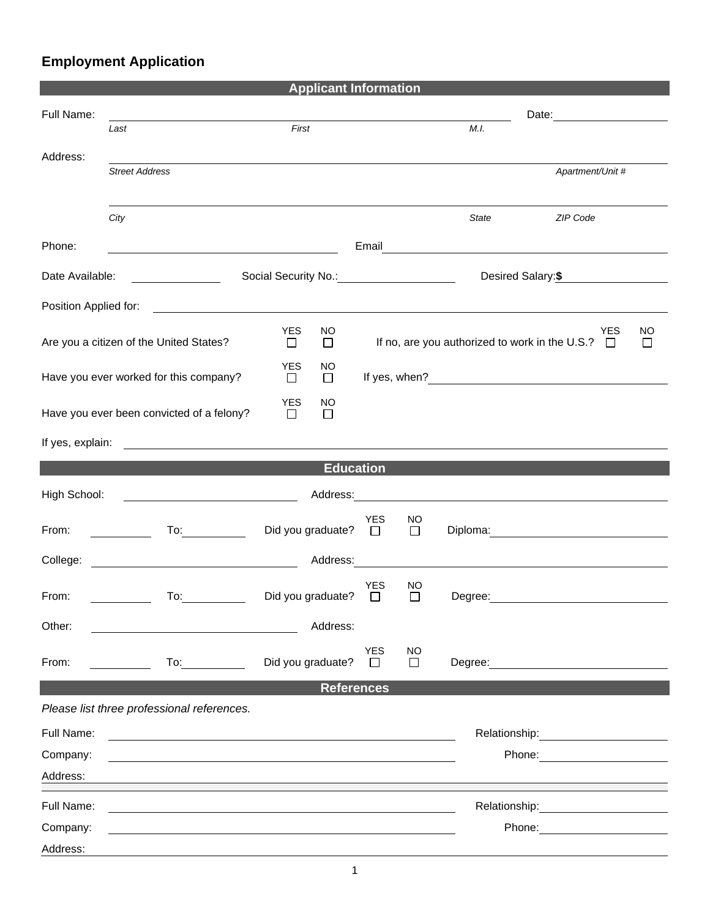## **Employment Application**

| <b>Applicant Information</b>                                                           |                                                                                                                      |                                       |                                                                                          |                     |         |                                                                                                                                                                                                                                |  |  |
|----------------------------------------------------------------------------------------|----------------------------------------------------------------------------------------------------------------------|---------------------------------------|------------------------------------------------------------------------------------------|---------------------|---------|--------------------------------------------------------------------------------------------------------------------------------------------------------------------------------------------------------------------------------|--|--|
| Full Name:                                                                             |                                                                                                                      |                                       |                                                                                          |                     |         | Date: <u>__________</u>                                                                                                                                                                                                        |  |  |
|                                                                                        | Last                                                                                                                 | First                                 |                                                                                          |                     | M.I.    |                                                                                                                                                                                                                                |  |  |
| Address:                                                                               |                                                                                                                      |                                       |                                                                                          |                     |         |                                                                                                                                                                                                                                |  |  |
|                                                                                        | <b>Street Address</b>                                                                                                |                                       |                                                                                          |                     |         | Apartment/Unit #                                                                                                                                                                                                               |  |  |
|                                                                                        |                                                                                                                      |                                       |                                                                                          |                     |         |                                                                                                                                                                                                                                |  |  |
|                                                                                        | City                                                                                                                 |                                       |                                                                                          |                     | State   | ZIP Code                                                                                                                                                                                                                       |  |  |
|                                                                                        |                                                                                                                      |                                       |                                                                                          |                     |         |                                                                                                                                                                                                                                |  |  |
| Phone:<br><u> 1980 - Johann Barnett, fransk politik (d. 1980)</u>                      |                                                                                                                      |                                       |                                                                                          |                     |         |                                                                                                                                                                                                                                |  |  |
| Date Available:                                                                        | <u> 1980 - Johann Barnett, fransk konge</u>                                                                          |                                       |                                                                                          |                     |         | Desired Salary: \$                                                                                                                                                                                                             |  |  |
|                                                                                        |                                                                                                                      |                                       |                                                                                          |                     |         |                                                                                                                                                                                                                                |  |  |
| Position Applied for:<br><u> 1980 - Johann Barn, fransk politik formuler (d. 1980)</u> |                                                                                                                      |                                       |                                                                                          |                     |         |                                                                                                                                                                                                                                |  |  |
|                                                                                        | Are you a citizen of the United States?                                                                              | <b>YES</b><br>NO.<br>$\Box$<br>$\Box$ | <b>YES</b><br><b>NO</b><br>If no, are you authorized to work in the U.S.?<br>$\Box$<br>ப |                     |         |                                                                                                                                                                                                                                |  |  |
| <b>YES</b><br>NO                                                                       |                                                                                                                      |                                       |                                                                                          |                     |         |                                                                                                                                                                                                                                |  |  |
| Have you ever worked for this company?                                                 |                                                                                                                      | $\Box$<br>$\Box$                      |                                                                                          |                     |         |                                                                                                                                                                                                                                |  |  |
|                                                                                        |                                                                                                                      | YES<br>NO.                            |                                                                                          |                     |         |                                                                                                                                                                                                                                |  |  |
|                                                                                        | Have you ever been convicted of a felony?                                                                            | $\Box$<br>$\Box$                      |                                                                                          |                     |         |                                                                                                                                                                                                                                |  |  |
| If yes, explain:                                                                       | <u> Alexandria de la contrada de la contrada de la contrada de la contrada de la contrada de la contrada de la c</u> |                                       |                                                                                          |                     |         |                                                                                                                                                                                                                                |  |  |
|                                                                                        |                                                                                                                      |                                       |                                                                                          |                     |         |                                                                                                                                                                                                                                |  |  |
| <b>Education</b>                                                                       |                                                                                                                      |                                       |                                                                                          |                     |         |                                                                                                                                                                                                                                |  |  |
| High School:                                                                           |                                                                                                                      |                                       |                                                                                          |                     |         | Address:                                                                                                                                                                                                                       |  |  |
| From:                                                                                  | $\overline{a}$                                                                                                       | Did you graduate?                     | <b>YES</b><br>$\Box$                                                                     | <b>NO</b><br>$\Box$ |         | Diploma: the contract of the contract of the contract of the contract of the contract of the contract of the contract of the contract of the contract of the contract of the contract of the contract of the contract of the c |  |  |
|                                                                                        |                                                                                                                      |                                       |                                                                                          |                     |         |                                                                                                                                                                                                                                |  |  |
| College:                                                                               |                                                                                                                      | Address:                              |                                                                                          |                     |         |                                                                                                                                                                                                                                |  |  |
|                                                                                        |                                                                                                                      |                                       | <b>YES</b>                                                                               | <b>NO</b>           |         |                                                                                                                                                                                                                                |  |  |
| From:                                                                                  | To:                                                                                                                  | Did you graduate?                     | □                                                                                        | $\Box$              | Degree: |                                                                                                                                                                                                                                |  |  |
| Other:                                                                                 |                                                                                                                      | Address:                              |                                                                                          |                     |         |                                                                                                                                                                                                                                |  |  |
|                                                                                        |                                                                                                                      |                                       | <b>YES</b>                                                                               | <b>NO</b>           |         |                                                                                                                                                                                                                                |  |  |
| From:                                                                                  | To: $\qquad \qquad$                                                                                                  | Did you graduate?                     | $\Box$                                                                                   | $\Box$              |         |                                                                                                                                                                                                                                |  |  |
| <b>References</b>                                                                      |                                                                                                                      |                                       |                                                                                          |                     |         |                                                                                                                                                                                                                                |  |  |
|                                                                                        | Please list three professional references.                                                                           |                                       |                                                                                          |                     |         |                                                                                                                                                                                                                                |  |  |
| Full Name:                                                                             |                                                                                                                      |                                       |                                                                                          |                     |         | Relationship: 2000                                                                                                                                                                                                             |  |  |
| Company:                                                                               |                                                                                                                      |                                       |                                                                                          |                     |         | Phone: <u>________________________</u>                                                                                                                                                                                         |  |  |
| Address:                                                                               |                                                                                                                      |                                       |                                                                                          |                     |         |                                                                                                                                                                                                                                |  |  |
|                                                                                        |                                                                                                                      |                                       |                                                                                          |                     |         |                                                                                                                                                                                                                                |  |  |
| Full Name:                                                                             |                                                                                                                      |                                       |                                                                                          |                     |         |                                                                                                                                                                                                                                |  |  |
| Company:                                                                               |                                                                                                                      |                                       |                                                                                          |                     |         | Phone: <u>________________________</u>                                                                                                                                                                                         |  |  |
| Address:                                                                               |                                                                                                                      |                                       |                                                                                          |                     |         |                                                                                                                                                                                                                                |  |  |